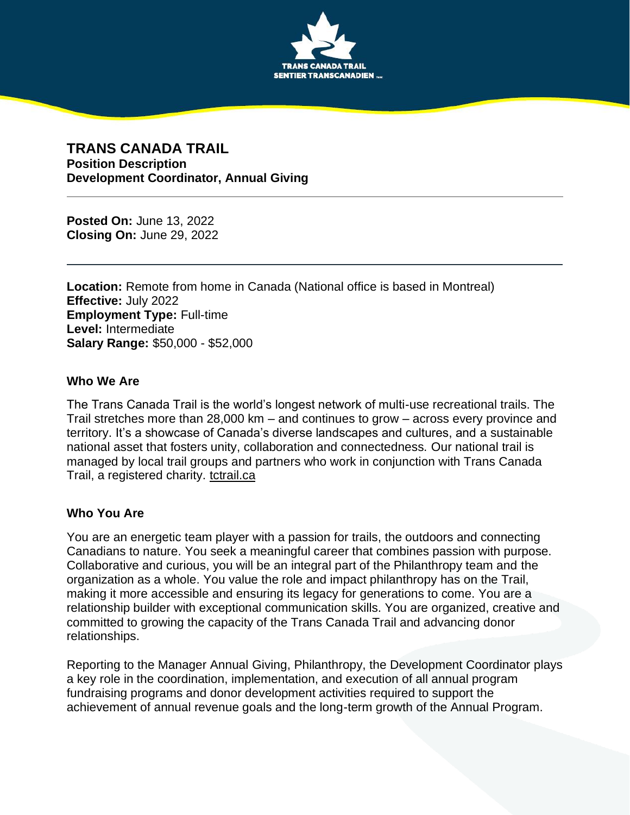

## **TRANS CANADA TRAIL Position Description Development Coordinator, Annual Giving**

**Posted On:** June 13, 2022 **Closing On:** June 29, 2022

**Location:** Remote from home in Canada (National office is based in Montreal) **Effective:** July 2022 **Employment Type:** Full-time **Level:** Intermediate **Salary Range:** \$50,000 - \$52,000

#### **Who We Are**

The Trans Canada Trail is the world's longest network of multi-use recreational trails. The Trail stretches more than 28,000 km – and continues to grow – across every province and territory. It's a showcase of Canada's diverse landscapes and cultures, and a sustainable national asset that fosters unity, collaboration and connectedness. Our national trail is managed by local trail groups and partners who work in conjunction with Trans Canada Trail, a registered charity. [tctrail.ca](http://www.tctrail.ca/)

### **Who You Are**

You are an energetic team player with a passion for trails, the outdoors and connecting Canadians to nature. You seek a meaningful career that combines passion with purpose. Collaborative and curious, you will be an integral part of the Philanthropy team and the organization as a whole. You value the role and impact philanthropy has on the Trail, making it more accessible and ensuring its legacy for generations to come. You are a relationship builder with exceptional communication skills. You are organized, creative and committed to growing the capacity of the Trans Canada Trail and advancing donor relationships.

Reporting to the Manager Annual Giving, Philanthropy, the Development Coordinator plays a key role in the coordination, implementation, and execution of all annual program fundraising programs and donor development activities required to support the achievement of annual revenue goals and the long-term growth of the Annual Program.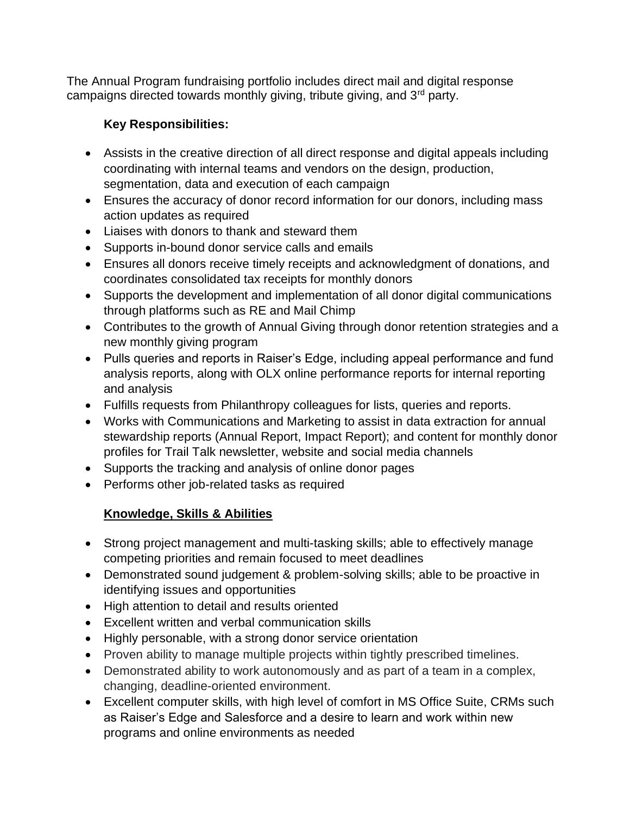The Annual Program fundraising portfolio includes direct mail and digital response campaigns directed towards monthly giving, tribute giving, and 3<sup>rd</sup> party.

# **Key Responsibilities:**

- Assists in the creative direction of all direct response and digital appeals including coordinating with internal teams and vendors on the design, production, segmentation, data and execution of each campaign
- Ensures the accuracy of donor record information for our donors, including mass action updates as required
- Liaises with donors to thank and steward them
- Supports in-bound donor service calls and emails
- Ensures all donors receive timely receipts and acknowledgment of donations, and coordinates consolidated tax receipts for monthly donors
- Supports the development and implementation of all donor digital communications through platforms such as RE and Mail Chimp
- Contributes to the growth of Annual Giving through donor retention strategies and a new monthly giving program
- Pulls queries and reports in Raiser's Edge, including appeal performance and fund analysis reports, along with OLX online performance reports for internal reporting and analysis
- Fulfills requests from Philanthropy colleagues for lists, queries and reports.
- Works with Communications and Marketing to assist in data extraction for annual stewardship reports (Annual Report, Impact Report); and content for monthly donor profiles for Trail Talk newsletter, website and social media channels
- Supports the tracking and analysis of online donor pages
- Performs other job-related tasks as required

# **Knowledge, Skills & Abilities**

- Strong project management and multi-tasking skills; able to effectively manage competing priorities and remain focused to meet deadlines
- Demonstrated sound judgement & problem-solving skills; able to be proactive in identifying issues and opportunities
- High attention to detail and results oriented
- Excellent written and verbal communication skills
- Highly personable, with a strong donor service orientation
- Proven ability to manage multiple projects within tightly prescribed timelines.
- Demonstrated ability to work autonomously and as part of a team in a complex, changing, deadline-oriented environment.
- Excellent computer skills, with high level of comfort in MS Office Suite, CRMs such as Raiser's Edge and Salesforce and a desire to learn and work within new programs and online environments as needed